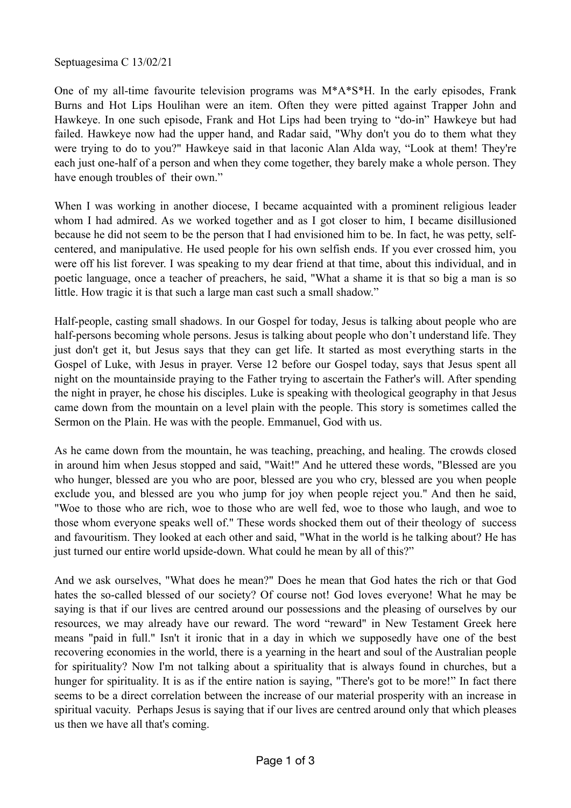## Septuagesima C 13/02/21

One of my all-time favourite television programs was M\*A\*S\*H. In the early episodes, Frank Burns and Hot Lips Houlihan were an item. Often they were pitted against Trapper John and Hawkeye. In one such episode, Frank and Hot Lips had been trying to "do-in" Hawkeye but had failed. Hawkeye now had the upper hand, and Radar said, "Why don't you do to them what they were trying to do to you?" Hawkeye said in that laconic Alan Alda way, "Look at them! They're each just one-half of a person and when they come together, they barely make a whole person. They have enough troubles of their own."

When I was working in another diocese, I became acquainted with a prominent religious leader whom I had admired. As we worked together and as I got closer to him, I became disillusioned because he did not seem to be the person that I had envisioned him to be. In fact, he was petty, selfcentered, and manipulative. He used people for his own selfish ends. If you ever crossed him, you were off his list forever. I was speaking to my dear friend at that time, about this individual, and in poetic language, once a teacher of preachers, he said, "What a shame it is that so big a man is so little. How tragic it is that such a large man cast such a small shadow."

Half-people, casting small shadows. In our Gospel for today, Jesus is talking about people who are half-persons becoming whole persons. Jesus is talking about people who don't understand life. They just don't get it, but Jesus says that they can get life. It started as most everything starts in the Gospel of Luke, with Jesus in prayer. Verse 12 before our Gospel today, says that Jesus spent all night on the mountainside praying to the Father trying to ascertain the Father's will. After spending the night in prayer, he chose his disciples. Luke is speaking with theological geography in that Jesus came down from the mountain on a level plain with the people. This story is sometimes called the Sermon on the Plain. He was with the people. Emmanuel, God with us.

As he came down from the mountain, he was teaching, preaching, and healing. The crowds closed in around him when Jesus stopped and said, "Wait!" And he uttered these words, "Blessed are you who hunger, blessed are you who are poor, blessed are you who cry, blessed are you when people exclude you, and blessed are you who jump for joy when people reject you." And then he said, "Woe to those who are rich, woe to those who are well fed, woe to those who laugh, and woe to those whom everyone speaks well of." These words shocked them out of their theology of success and favouritism. They looked at each other and said, "What in the world is he talking about? He has just turned our entire world upside-down. What could he mean by all of this?"

And we ask ourselves, "What does he mean?" Does he mean that God hates the rich or that God hates the so-called blessed of our society? Of course not! God loves everyone! What he may be saying is that if our lives are centred around our possessions and the pleasing of ourselves by our resources, we may already have our reward. The word "reward" in New Testament Greek here means "paid in full." Isn't it ironic that in a day in which we supposedly have one of the best recovering economies in the world, there is a yearning in the heart and soul of the Australian people for spirituality? Now I'm not talking about a spirituality that is always found in churches, but a hunger for spirituality. It is as if the entire nation is saying, "There's got to be more!" In fact there seems to be a direct correlation between the increase of our material prosperity with an increase in spiritual vacuity. Perhaps Jesus is saying that if our lives are centred around only that which pleases us then we have all that's coming.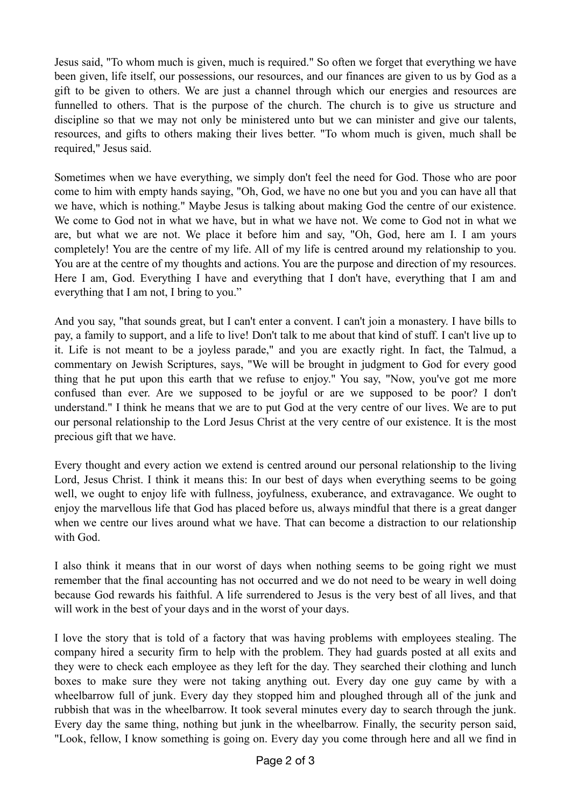Jesus said, "To whom much is given, much is required." So often we forget that everything we have been given, life itself, our possessions, our resources, and our finances are given to us by God as a gift to be given to others. We are just a channel through which our energies and resources are funnelled to others. That is the purpose of the church. The church is to give us structure and discipline so that we may not only be ministered unto but we can minister and give our talents, resources, and gifts to others making their lives better. "To whom much is given, much shall be required," Jesus said.

Sometimes when we have everything, we simply don't feel the need for God. Those who are poor come to him with empty hands saying, "Oh, God, we have no one but you and you can have all that we have, which is nothing." Maybe Jesus is talking about making God the centre of our existence. We come to God not in what we have, but in what we have not. We come to God not in what we are, but what we are not. We place it before him and say, "Oh, God, here am I. I am yours completely! You are the centre of my life. All of my life is centred around my relationship to you. You are at the centre of my thoughts and actions. You are the purpose and direction of my resources. Here I am, God. Everything I have and everything that I don't have, everything that I am and everything that I am not, I bring to you."

And you say, "that sounds great, but I can't enter a convent. I can't join a monastery. I have bills to pay, a family to support, and a life to live! Don't talk to me about that kind of stuff. I can't live up to it. Life is not meant to be a joyless parade," and you are exactly right. In fact, the Talmud, a commentary on Jewish Scriptures, says, "We will be brought in judgment to God for every good thing that he put upon this earth that we refuse to enjoy." You say, "Now, you've got me more confused than ever. Are we supposed to be joyful or are we supposed to be poor? I don't understand." I think he means that we are to put God at the very centre of our lives. We are to put our personal relationship to the Lord Jesus Christ at the very centre of our existence. It is the most precious gift that we have.

Every thought and every action we extend is centred around our personal relationship to the living Lord, Jesus Christ. I think it means this: In our best of days when everything seems to be going well, we ought to enjoy life with fullness, joyfulness, exuberance, and extravagance. We ought to enjoy the marvellous life that God has placed before us, always mindful that there is a great danger when we centre our lives around what we have. That can become a distraction to our relationship with God.

I also think it means that in our worst of days when nothing seems to be going right we must remember that the final accounting has not occurred and we do not need to be weary in well doing because God rewards his faithful. A life surrendered to Jesus is the very best of all lives, and that will work in the best of your days and in the worst of your days.

I love the story that is told of a factory that was having problems with employees stealing. The company hired a security firm to help with the problem. They had guards posted at all exits and they were to check each employee as they left for the day. They searched their clothing and lunch boxes to make sure they were not taking anything out. Every day one guy came by with a wheelbarrow full of junk. Every day they stopped him and ploughed through all of the junk and rubbish that was in the wheelbarrow. It took several minutes every day to search through the junk. Every day the same thing, nothing but junk in the wheelbarrow. Finally, the security person said, "Look, fellow, I know something is going on. Every day you come through here and all we find in